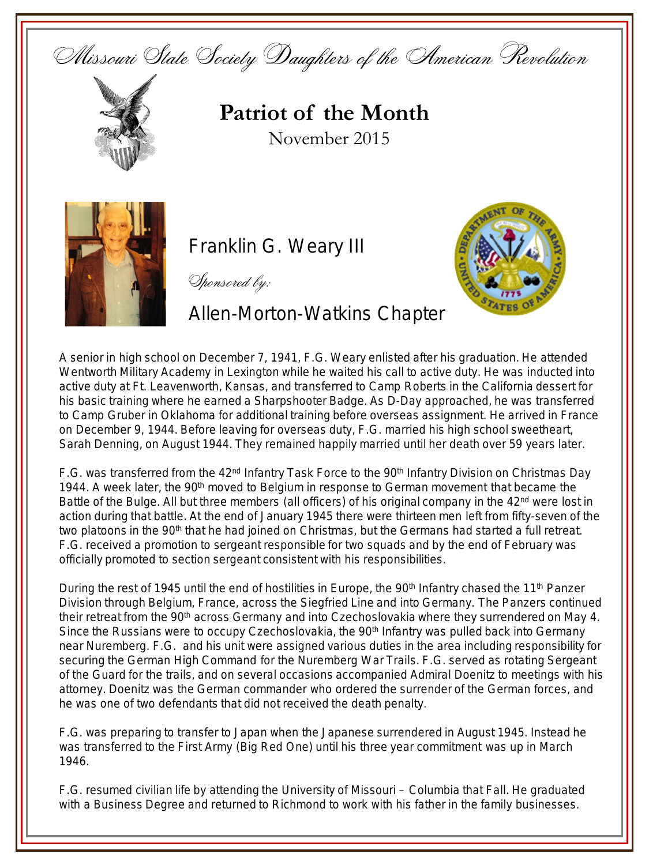Missouri State Society Daughters of the American Revolution



## **Patriot of the Month** November 2015



Franklin G. Weary III

Sponsored by:

Allen-Morton-Watkins Chapter



A senior in high school on December 7, 1941, F.G. Weary enlisted after his graduation. He attended Wentworth Military Academy in Lexington while he waited his call to active duty. He was inducted into active duty at Ft. Leavenworth, Kansas, and transferred to Camp Roberts in the California dessert for his basic training where he earned a Sharpshooter Badge. As D-Day approached, he was transferred to Camp Gruber in Oklahoma for additional training before overseas assignment. He arrived in France on December 9, 1944. Before leaving for overseas duty, F.G. married his high school sweetheart, Sarah Denning, on August 1944. They remained happily married until her death over 59 years later.

F.G. was transferred from the 42<sup>nd</sup> Infantry Task Force to the 90<sup>th</sup> Infantry Division on Christmas Day 1944. A week later, the 90<sup>th</sup> moved to Belgium in response to German movement that became the Battle of the Bulge. All but three members (all officers) of his original company in the 42<sup>nd</sup> were lost in action during that battle. At the end of January 1945 there were thirteen men left from fifty-seven of the two platoons in the 90<sup>th</sup> that he had joined on Christmas, but the Germans had started a full retreat. F.G. received a promotion to sergeant responsible for two squads and by the end of February was officially promoted to section sergeant consistent with his responsibilities.

During the rest of 1945 until the end of hostilities in Europe, the 90<sup>th</sup> Infantry chased the 11<sup>th</sup> Panzer Division through Belgium, France, across the Siegfried Line and into Germany. The Panzers continued their retreat from the 90<sup>th</sup> across Germany and into Czechoslovakia where they surrendered on May 4. Since the Russians were to occupy Czechoslovakia, the 90<sup>th</sup> Infantry was pulled back into Germany near Nuremberg. F.G. and his unit were assigned various duties in the area including responsibility for securing the German High Command for the Nuremberg War Trails. F.G. served as rotating Sergeant of the Guard for the trails, and on several occasions accompanied Admiral Doenitz to meetings with his attorney. Doenitz was the German commander who ordered the surrender of the German forces, and he was one of two defendants that did not received the death penalty.

F.G. was preparing to transfer to Japan when the Japanese surrendered in August 1945. Instead he was transferred to the First Army (Big Red One) until his three year commitment was up in March 1946.

F.G. resumed civilian life by attending the University of Missouri – Columbia that Fall. He graduated with a Business Degree and returned to Richmond to work with his father in the family businesses.